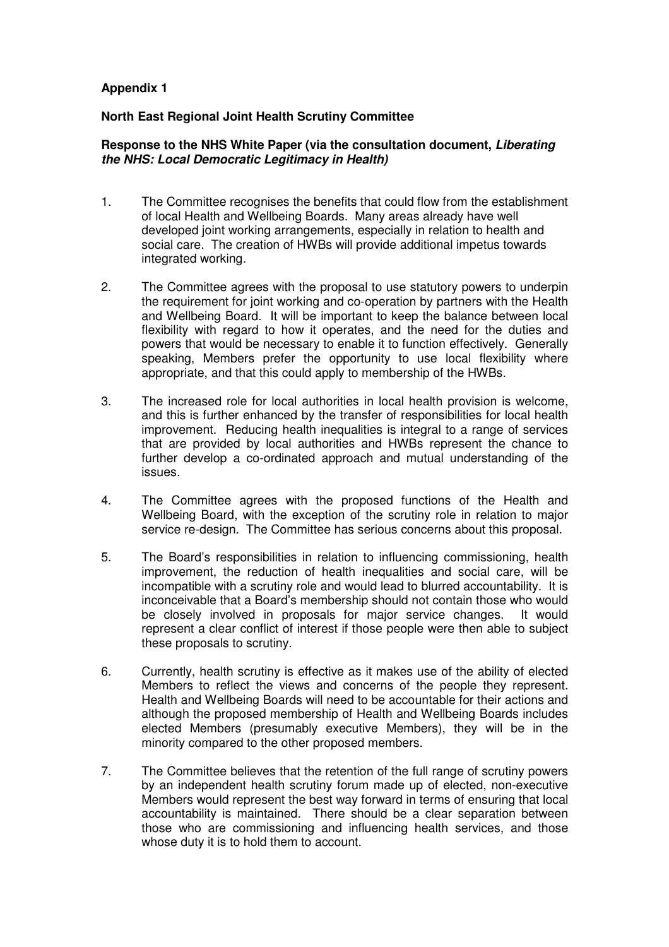## **Appendix 1**

## **North East Regional Joint Health Scrutiny Committee**

## **Response to the NHS White Paper (via the consultation document, Liberating the NHS: Local Democratic Legitimacy in Health)**

- 1. The Committee recognises the benefits that could flow from the establishment of local Health and Wellbeing Boards. Many areas already have well developed joint working arrangements, especially in relation to health and social care. The creation of HWBs will provide additional impetus towards integrated working.
- 2. The Committee agrees with the proposal to use statutory powers to underpin the requirement for joint working and co-operation by partners with the Health and Wellbeing Board. It will be important to keep the balance between local flexibility with regard to how it operates, and the need for the duties and powers that would be necessary to enable it to function effectively. Generally speaking, Members prefer the opportunity to use local flexibility where appropriate, and that this could apply to membership of the HWBs.
- 3. The increased role for local authorities in local health provision is welcome, and this is further enhanced by the transfer of responsibilities for local health improvement. Reducing health inequalities is integral to a range of services that are provided by local authorities and HWBs represent the chance to further develop a co-ordinated approach and mutual understanding of the issues.
- 4. The Committee agrees with the proposed functions of the Health and Wellbeing Board, with the exception of the scrutiny role in relation to major service re-design. The Committee has serious concerns about this proposal.
- 5. The Board's responsibilities in relation to influencing commissioning, health improvement, the reduction of health inequalities and social care, will be incompatible with a scrutiny role and would lead to blurred accountability. It is inconceivable that a Board's membership should not contain those who would be closely involved in proposals for major service changes. It would represent a clear conflict of interest if those people were then able to subject these proposals to scrutiny.
- 6. Currently, health scrutiny is effective as it makes use of the ability of elected Members to reflect the views and concerns of the people they represent. Health and Wellbeing Boards will need to be accountable for their actions and although the proposed membership of Health and Wellbeing Boards includes elected Members (presumably executive Members), they will be in the minority compared to the other proposed members.
- 7. The Committee believes that the retention of the full range of scrutiny powers by an independent health scrutiny forum made up of elected, non-executive Members would represent the best way forward in terms of ensuring that local accountability is maintained. There should be a clear separation between those who are commissioning and influencing health services, and those whose duty it is to hold them to account.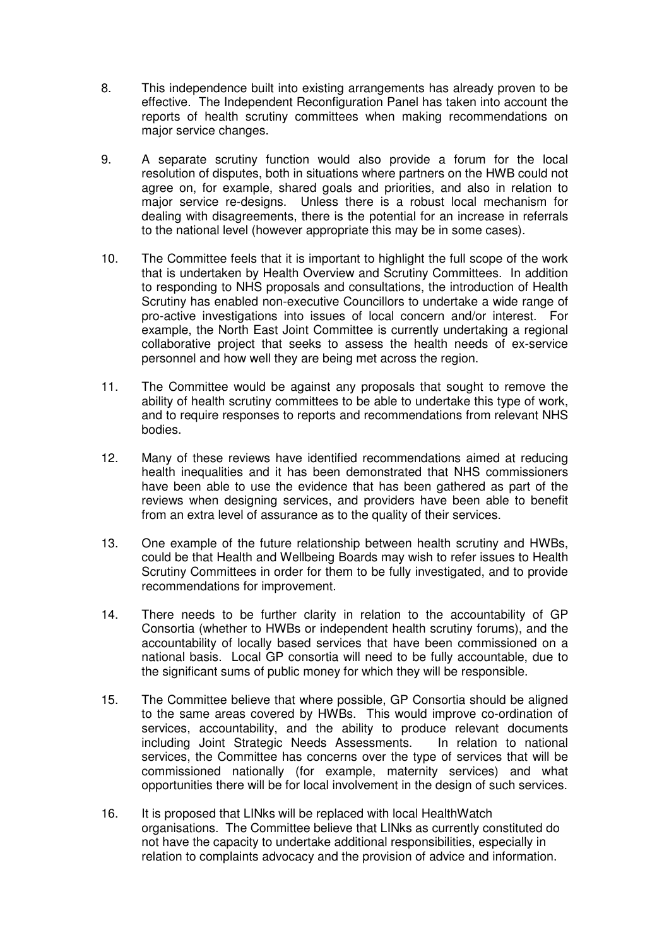- 8. This independence built into existing arrangements has already proven to be effective. The Independent Reconfiguration Panel has taken into account the reports of health scrutiny committees when making recommendations on major service changes.
- 9. A separate scrutiny function would also provide a forum for the local resolution of disputes, both in situations where partners on the HWB could not agree on, for example, shared goals and priorities, and also in relation to major service re-designs. Unless there is a robust local mechanism for dealing with disagreements, there is the potential for an increase in referrals to the national level (however appropriate this may be in some cases).
- 10. The Committee feels that it is important to highlight the full scope of the work that is undertaken by Health Overview and Scrutiny Committees. In addition to responding to NHS proposals and consultations, the introduction of Health Scrutiny has enabled non-executive Councillors to undertake a wide range of pro-active investigations into issues of local concern and/or interest. For example, the North East Joint Committee is currently undertaking a regional collaborative project that seeks to assess the health needs of ex-service personnel and how well they are being met across the region.
- 11. The Committee would be against any proposals that sought to remove the ability of health scrutiny committees to be able to undertake this type of work, and to require responses to reports and recommendations from relevant NHS bodies.
- 12. Many of these reviews have identified recommendations aimed at reducing health inequalities and it has been demonstrated that NHS commissioners have been able to use the evidence that has been gathered as part of the reviews when designing services, and providers have been able to benefit from an extra level of assurance as to the quality of their services.
- 13. One example of the future relationship between health scrutiny and HWBs, could be that Health and Wellbeing Boards may wish to refer issues to Health Scrutiny Committees in order for them to be fully investigated, and to provide recommendations for improvement.
- 14. There needs to be further clarity in relation to the accountability of GP Consortia (whether to HWBs or independent health scrutiny forums), and the accountability of locally based services that have been commissioned on a national basis. Local GP consortia will need to be fully accountable, due to the significant sums of public money for which they will be responsible.
- 15. The Committee believe that where possible, GP Consortia should be aligned to the same areas covered by HWBs. This would improve co-ordination of services, accountability, and the ability to produce relevant documents including Joint Strategic Needs Assessments. In relation to national services, the Committee has concerns over the type of services that will be commissioned nationally (for example, maternity services) and what opportunities there will be for local involvement in the design of such services.
- 16. It is proposed that LINks will be replaced with local HealthWatch organisations. The Committee believe that LINks as currently constituted do not have the capacity to undertake additional responsibilities, especially in relation to complaints advocacy and the provision of advice and information.